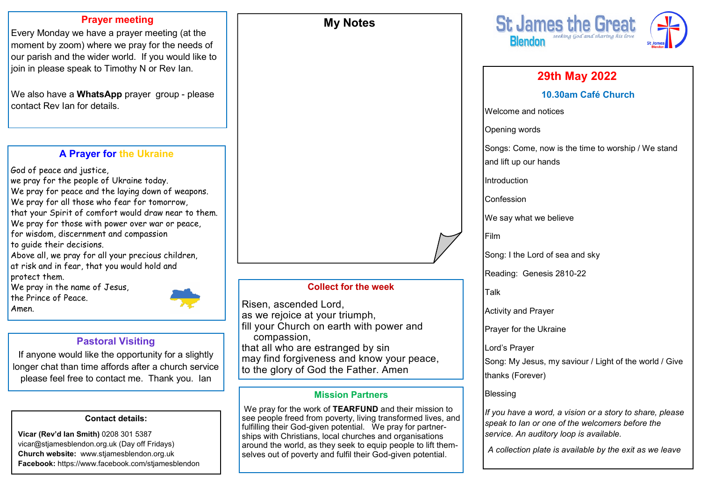#### **Prayer meeting**

Every Monday we have a prayer meeting (at the moment by zoom) where we pray for the needs of our parish and the wider world. If you would like to join in please speak to Timothy N or Rev Ian.

We also have a **WhatsApp** prayer group - please contact Rev Ian for details.

#### **A Prayer for the Ukraine**

God of peace and justice, we pray for the people of Ukraine today. We pray for peace and the laying down of weapons. We pray for all those who fear for tomorrow, that your Spirit of comfort would draw near to them. We pray for those with power over war or peace, for wisdom, discernment and compassion to guide their decisions. Above all, we pray for all your precious children, at risk and in fear, that you would hold and

protect them.

We pray in the name of Jesus, the Prince of Peace.

Amen.

## **Pastoral Visiting**

If anyone would like the opportunity for a slightly longer chat than time affords after a church service please feel free to contact me. Thank you. Ian

#### **Contact details:**

**Vicar (Rev'd Ian Smith)** 0208 301 5387 vicar@stjamesblendon.org.uk (Day off Fridays) **Church website:** www.stjamesblendon.org.uk **Facebook:** https://www.facebook.com/stjamesblendon

#### **Collect for the week**

**My Notes**

Risen, ascended Lord, as we rejoice at your triumph, fill your Church on earth with power and compassion, that all who are estranged by sin may find forgiveness and know your peace, to the glory of God the Father. Amen

#### **Mission Partners**

 We pray for the work of **TEARFUND** and their mission to see people freed from poverty, living transformed lives, and fulfilling their God-given potential. We pray for partnerships with Christians, local churches and organisations around the world, as they seek to equip people to lift themselves out of poverty and fulfil their God-given potential.



## **29th May 2022 10.30am Café Church** Welcome and notices Opening words Songs: Come, now is the time to worship / We stand and lift up our hands **Introduction** Confession We say what we believe Film Song: I the Lord of sea and sky Reading: Genesis 2810-22 Talk Activity and Prayer Prayer for the Ukraine Lord's Prayer Song: My Jesus, my saviour / Light of the world / Give thanks (Forever) Blessing *If you have a word, a vision or a story to share, please speak to Ian or one of the welcomers before the service. An auditory loop is available. A collection plate is available by the exit as we leave*